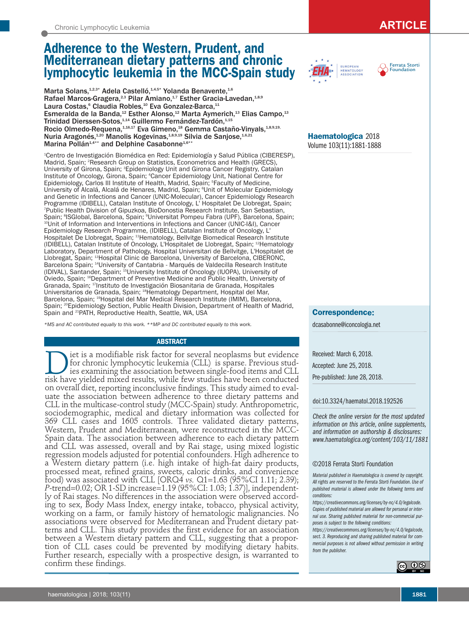# **Adherence to the Western, Prudent, and Mediterranean dietary patterns and chronic lymphocytic leukemia in the MCC-Spain study**

Marta Solans,<sup>1,2,3\*</sup> Adela Castelló,<sup>1,4,5\*</sup> Yolanda Benavente,<sup>1,6</sup> Rafael Marcos-Gragera,<sup>2,3</sup> Pilar Amiano,<sup>1,7</sup> Esther Gracia-Lavedan,<sup>1,8,9</sup> Laura Costas,<sup>6</sup> Claudia Robles,<sup>10</sup> Eva Gonzalez-Barca,<sup>11</sup> Esmeralda de la Banda,<sup>12</sup> Esther Alonso,<sup>12</sup> Marta Aymerich,<sup>13</sup> Elias Campo,<sup>13</sup> Trinidad Dierssen-Sotos,<sup>1,14</sup> Guillermo Fernández-Tardón,<sup>1,15</sup> Rocio Olmedo-Requena, 1,16,17 Eva Gimeno, <sup>18</sup> Gemma Castaño-Vinyals, <sup>1,8,9,19,</sup> Nuria Aragonés,<sup>1,20</sup> Manolis Kogevinas,<sup>1,8,9,19</sup> Silvia de Sanjose,<sup>1,6,21</sup> Marina Pollán<sup>1,4\*\*</sup> and Delphine Casabonne<sup>1,6\*\*</sup>

1 Centro de Investigación Biomédica en Red: Epidemiología y Salud Pública (CIBERESP), Madrid, Spain; <sup>2</sup>Research Group on Statistics, Econometrics and Health (GRECS), University of Girona, Spain; <sup>3</sup>Epidemiology Unit and Girona Cancer Registry, Catalan Institute of Oncology, Girona, Spain; 4 Cancer Epidemiology Unit, National Centre for Epidemiology, Carlos III Institute of Health, Madrid, Spain; <sup>5</sup>Faculty of Medicine, University of Alcalá, Alcalá de Henares, Madrid, Spain; <sup>e</sup>Unit of Molecular Epidemiology and Genetic in Infections and Cancer (UNIC-Molecular), Cancer Epidemiology Research Programme (IDIBELL), Catalan Institute of Oncology, L' Hospitalet De Llobregat, Spain; 7 Public Health Division of Gipuzkoa, BioDonostia Research Institute, San Sebastian, Spain; <sup>8</sup>ISGlobal, Barcelona, Spain; <sup>9</sup> <sup>10</sup>Unit of Information and Interventions in Infections and Cancer (UNIC-I&I), Cancer Epidemiology Research Programme, (IDIBELL), Catalan Institute of Oncology, L' Hospitalet De Llobregat, Spain; 11Hematology, Bellvitge Biomedical Research Institute (IDIBELL), Catalan Institute of Oncology, L'Hospitalet de Llobregat, Spain; 12Hematology Laboratory, Department of Pathology, Hospital Universitari de Bellvitge, L'Hospitalet de Llobregat, Spain; 13Hospital Clinic de Barcelona, University of Barcelona, CIBERONC, Barcelona Spain; 14University of Cantabria - Marqués de Valdecilla Research Institute (IDIVAL), Santander, Spain; 15University Institute of Oncology (IUOPA), University of Oviedo, Spain; 16Department of Preventive Medicine and Public Health, University of Granada, Spain; 17Instituto de Investigación Biosanitaria de Granada, Hospitales Universitarios de Granada, Spain; 18Hematology Department, Hospital del Mar, Barcelona, Spain; 19Hospital del Mar Medical Research Institute (IMIM), Barcelona, Spain; <sup>20</sup>Epidemiology Section, Public Health Division, Department of Health of Madrid, Spain and <sup>21</sup>PATH, Reproductive Health, Seattle, WA, USA

*\*MS and AC contributed equally to this work. \*\*MP and DC contributed equally to this work.*

## **ABSTRACT**

**D** iet is a modifiable risk factor for several neoplasms but evidence<br>for chronic lymphocytic leukemia (CLL) is sparse. Previous stud-<br>ies examining the association between single-food items and CLL for chronic lymphocytic leukemia (CLL) is sparse. Previous studies examining the association between single-food items and CLL risk have yielded mixed results, while few studies have been conducted on overall diet, reporting inconclusive findings. This study aimed to evaluate the association between adherence to three dietary patterns and CLL in the multicase-control study (MCC-Spain) study. Anthropometric, sociodemographic, medical and dietary information was collected for 369 CLL cases and 1605 controls. Three validated dietary patterns, Western, Prudent and Mediterranean, were reconstructed in the MCC-Spain data. The association between adherence to each dietary pattern and CLL was assessed, overall and by Rai stage, using mixed logistic regression models adjusted for potential confounders. High adherence to a Western dietary pattern (i.e. high intake of high-fat dairy products, processed meat, refined grains, sweets, caloric drinks, and convenience food) was associated with CLL [ORQ4 *vs.* Q1=1.63 (95%CI 1.11; 2.39); *P*-trend=0.02; OR 1-SD increase=1.19 (95%CI: 1.03; 1.37)], independently of Rai stages. No differences in the association were observed according to sex, Body Mass Index, energy intake, tobacco, physical activity, working on a farm, or family history of hematologic malignancies. No associations were observed for Mediterranean and Prudent dietary patterns and CLL. This study provides the first evidence for an association between a Western dietary pattern and CLL, suggesting that a proportion of CLL cases could be prevented by modifying dietary habits. Further research, especially with a prospective design, is warranted to confirm these findings.





**Haematologica** 2018 Volume 103(11):1881-1888

## **Correspondence:**

dcasabonne@iconcologia.net

Received: March 6, 2018. Accepted: June 25, 2018. Pre-published: June 28, 2018.

# doi:10.3324/haematol.2018.192526

*Check the online version for the most updated information on this article, online supplements, and information on authorship & disclosures: www.haematologica.org/content/103/11/1881*

#### ©2018 Ferrata Storti Foundation

*Material published in Haematologica is covered by copyright. All rights are reserved to the Ferrata Storti Foundation. Use of published material is allowed under the following terms and conditions:* 

*https://creativecommons.org/licenses/by-nc/4.0/legalcode. Copies of published material are allowed for personal or internal use. Sharing published material for non-commercial purposes is subject to the following conditions:* 

*https://creativecommons.org/licenses/by-nc/4.0/legalcode, sect. 3. Reproducing and sharing published material for commercial purposes is not allowed without permission in writing from the publisher.*

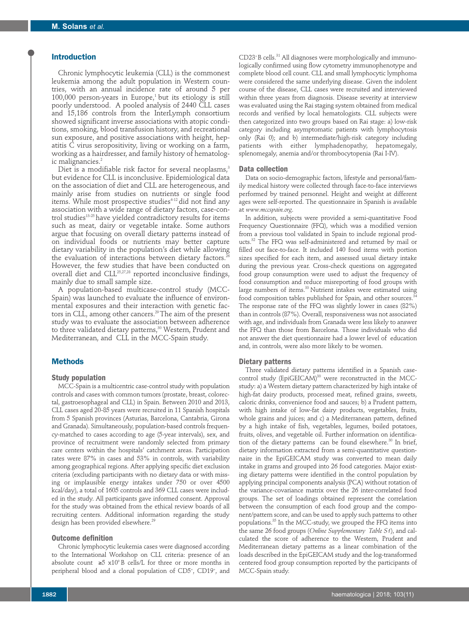# **Introduction**

Chronic lymphocytic leukemia (CLL) is the commonest leukemia among the adult population in Western countries, with an annual incidence rate of around 5 per  $100,000$  person-years in Europe,<sup>1</sup> but its etiology is still poorly understood. A pooled analysis of 2440 CLL cases and 15,186 controls from the InterLymph consortium showed significant inverse associations with atopic conditions, smoking, blood transfusion history, and recreational sun exposure, and positive associations with height, hepatitis C virus seropositivity, living or working on a farm, working as a hairdresser, and family history of hematologic malignancies.<sup>2</sup>

Diet is a modifiable risk factor for several neoplasms,<sup>3</sup> but evidence for CLL is inconclusive. Epidemiological data on the association of diet and CLL are heterogeneous, and mainly arise from studies on nutrients or single food items. While most prospective studies<sup>412</sup> did not find any association with a wide range of dietary factors, case-control studies<sup>13-25</sup> have yielded contradictory results for items such as meat, dairy or vegetable intake. Some authors argue that focusing on overall dietary patterns instead of on individual foods or nutrients may better capture dietary variability in the population's diet while allowing the evaluation of interactions between dietary factors.<sup>2</sup> However, the few studies that have been conducted on overall diet and CLL<sup>25,27,28</sup> reported inconclusive findings, mainly due to small sample size.

A population-based multicase-control study (MCC-Spain) was launched to evaluate the influence of environmental exposures and their interaction with genetic factors in CLL, among other cancers.<sup>29</sup> The aim of the present study was to evaluate the association between adherence to three validated dietary patterns,<sup>30</sup> Western, Prudent and Mediterranean, and CLL in the MCC-Spain study.

# **Methods**

# **Study population**

MCC-Spain is a multicentric case-control study with population controls and cases with common tumors (prostate, breast, colorectal, gastroesophageal and CLL) in Spain. Between 2010 and 2013, CLL cases aged 20-85 years were recruited in 11 Spanish hospitals from 5 Spanish provinces (Asturias, Barcelona, Cantabria, Girona and Granada). Simultaneously, population-based controls frequency-matched to cases according to age (5-year intervals), sex, and province of recruitment were randomly selected from primary care centers within the hospitals' catchment areas. Participation rates were 87% in cases and 53% in controls, with variability among geographical regions. After applying specific diet exclusion criteria (excluding participants with no dietary data or with missing or implausible energy intakes under 750 or over 4500 kcal/day), a total of 1605 controls and 369 CLL cases were included in the study. All participants gave informed consent. Approval for the study was obtained from the ethical review boards of all recruiting centers. Additional information regarding the study design has been provided elsewhere.<sup>29</sup>

#### **Outcome definition**

Chronic lymphocytic leukemia cases were diagnosed according to the International Workshop on CLL criteria: presence of an absolute count  $≥5$  x10°B cells/L for three or more months in peripheral blood and a clonal population of CD5<sup>+</sup>, CD19<sup>+</sup>, and

 $CD23<sup>+</sup>$ B cells.<sup>31</sup> All diagnoses were morphologically and immunologically confirmed using flow cytometry immunophenotype and complete blood cell count. CLL and small lymphocytic lymphoma were considered the same underlying disease. Given the indolent course of the disease, CLL cases were recruited and interviewed within three years from diagnosis. Disease severity at interview was evaluated using the Rai staging system obtained from medical records and verified by local hematologists. CLL subjects were then categorized into two groups based on Rai stage: a) low-risk category including asymptomatic patients with lymphocytosis only (Rai 0); and b) intermediate/high-risk category including patients with either lymphadenopathy, hepatomegaly, splenomegaly, anemia and/or thrombocytopenia (Rai I-IV).

#### **Data collection**

Data on socio-demographic factors, lifestyle and personal/family medical history were collected through face-to-face interviews performed by trained personnel. Height and weight at different ages were self-reported. The questionnaire in Spanish is available at *www.mccspain.org*.

In addition, subjects were provided a semi-quantitative Food Frequency Questionnaire (FFQ), which was a modified version from a previous tool validated in Spain to include regional products.<sup>32</sup> The FFQ was self-administered and returned by mail or filled out face-to-face. It included 140 food items with portion sizes specified for each item, and assessed usual dietary intake during the previous year. Cross-check questions on aggregated food group consumption were used to adjust the frequency of food consumption and reduce misreporting of food groups with large numbers of items.<sup>33</sup> Nutrient intakes were estimated using food composition tables published for Spain, and other sources.<sup>3</sup> The response rate of the FFQ was slightly lower in cases (82%) than in controls (87%). Overall, responsiveness was not associated with age, and individuals from Granada were less likely to answer the FFQ than those from Barcelona. Those individuals who did not answer the diet questionnaire had a lower level of education and, in controls, were also more likely to be women.

#### **Dietary patterns**

Three validated dietary patterns identified in a Spanish casecontrol study (EpiGEICAM)<sup>30</sup> were reconstructed in the MCCstudy: a) a Western dietary pattern characterized by high intake of high-fat dairy products, processed meat, refined grains, sweets, caloric drinks, convenience food and sauces; b) a Prudent pattern, with high intake of low-fat dairy products, vegetables, fruits, whole grains and juices; and c) a Mediterranean pattern, defined by a high intake of fish, vegetables, legumes, boiled potatoes, fruits, olives, and vegetable oil. Further information on identification of the dietary patterns can be found elsewhere.<sup>30</sup> In brief, dietary information extracted from a semi-quantitative questionnaire in the EpiGEICAM study was converted to mean daily intake in grams and grouped into 26 food categories. Major existing dietary patterns were identified in the control population by applying principal components analysis (PCA) without rotation of the variance-covariance matrix over the 26 inter-correlated food groups. The set of loadings obtained represent the correlation between the consumption of each food group and the component/pattern score, and can be used to apply such patterns to other populations.35 In the MCC-study, we grouped the FFQ items into the same 26 food groups (*Online Supplementary Table S1*), and calculated the score of adherence to the Western, Prudent and Mediterranean dietary patterns as a linear combination of the loads described in the EpiGEICAM study and the log-transformed centered food group consumption reported by the participants of MCC-Spain study.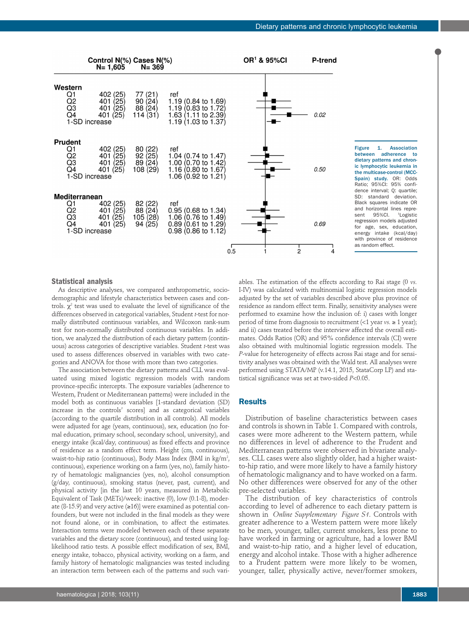

#### Figure 1. Association<br>between adherence to between adherence dietary patterns and chronic lymphocytic leukemia in the multicase-control (MCC-Spain) study. OR: Odds Ratio; 95%CI: 95% confidence interval; Q: quartile; SD: standard deviation. Black squares indicate OR and horizontal lines repre-<br>sent 95%Cl. <sup>1</sup>Logistic 95%CI. Logistic regression models adjusted for age, sex, education, energy intake (kcal/day) with province of residence as random effect.

# **Statistical analysis**

As descriptive analyses, we compared anthropometric, sociodemographic and lifestyle characteristics between cases and controls.  $χ²$  test was used to evaluate the level of significance of the differences observed in categorical variables, Student *t*-test for normally distributed continuous variables, and Wilcoxon rank-sum test for non-normally distributed continuous variables. In addition, we analyzed the distribution of each dietary pattern (continuous) across categories of descriptive variables. Student *t*-test was used to assess differences observed in variables with two categories and ANOVA for those with more than two categories.

The association between the dietary patterns and CLL was evaluated using mixed logistic regression models with random province-specific intercepts. The exposure variables (adherence to Western, Prudent or Mediterranean patterns) were included in the model both as continuous variables [1-standard deviation (SD) increase in the controls' scores] and as categorical variables (according to the quartile distribution in all controls). All models were adjusted for age (years, continuous), sex, education (no formal education, primary school, secondary school, university), and energy intake (kcal/day, continuous) as fixed effects and province of residence as a random effect term. Height (cm, continuous), waist-to-hip ratio (continuous), Body Mass Index (BMI in kg/m $^2\!$ , continuous), experience working on a farm (yes, no), family history of hematologic malignancies (yes, no), alcohol consumption (g/day, continuous), smoking status (never, past, current), and physical activity [in the last 10 years, measured in Metabolic Equivalent of Task (METs)/week: inactive (0), low (0.1-8), moderate (8-15.9) and very active (≥16)] were examined as potential confounders, but were not included in the final models as they were not found alone, or in combination, to affect the estimates. Interaction terms were modeled between each of these separate variables and the dietary score (continuous), and tested using loglikelihood ratio tests. A possible effect modification of sex, BMI, energy intake, tobacco, physical activity, working on a farm, and family history of hematologic malignancies was tested including an interaction term between each of the patterns and such variI-IV) was calculated with multinomial logistic regression models adjusted by the set of variables described above plus province of residence as random effect term. Finally, sensitivity analyses were performed to examine how the inclusion of: i) cases with longer period of time from diagnosis to recruitment (<1 year *vs.* ≥ 1 year); and ii) cases treated before the interview affected the overall estimates. Odds Ratios (OR) and 95% confidence intervals (CI) were also obtained with multinomial logistic regression models. The *P*-value for heterogeneity of effects across Rai stage and for sensitivity analyses was obtained with the Wald test. All analyses were performed using STATA/MP (v.14.1, 2015, StataCorp LP) and statistical significance was set at two-sided *P*<0.05.

ables. The estimation of the effects according to Rai stage (0 *vs.* 

# **Results**

Distribution of baseline characteristics between cases and controls is shown in Table 1. Compared with controls, cases were more adherent to the Western pattern, while no differences in level of adherence to the Prudent and Mediterranean patterns were observed in bivariate analyses. CLL cases were also slightly older, had a higher waistto-hip ratio, and were more likely to have a family history of hematologic malignancy and to have worked on a farm. No other differences were observed for any of the other pre-selected variables.

The distribution of key characteristics of controls according to level of adherence to each dietary pattern is shown in *Online Supplementary Figure S1.* Controls with greater adherence to a Western pattern were more likely to be men, younger, taller, current smokers, less prone to have worked in farming or agriculture, had a lower BMI and waist-to-hip ratio, and a higher level of education, energy and alcohol intake. Those with a higher adherence to a Prudent pattern were more likely to be women, younger, taller, physically active, never/former smokers,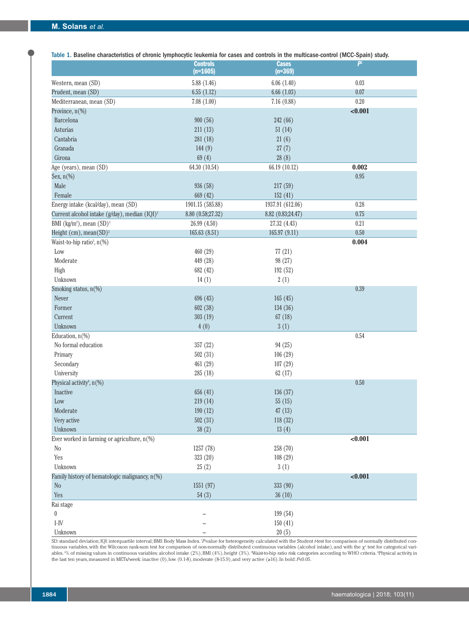| Table 1. Baseline characteristics of chronic lymphocytic leukemia for cases and controls in the multicase-control (MCC-Spain) study. | <b>Controls</b>   | <b>Cases</b>      | P <sup>1</sup> |
|--------------------------------------------------------------------------------------------------------------------------------------|-------------------|-------------------|----------------|
|                                                                                                                                      | $(n=1605)$        | $(n=369)$         |                |
| Western, mean (SD)                                                                                                                   | 5.88(1.46)        | 6.06(1.40)        | $0.03\,$       |
| Prudent, mean (SD)                                                                                                                   | 6.55(1.12)        | 6.66(1.03)        | 0.07           |
| Mediterranean, mean (SD)                                                                                                             | 7.08(1.00)        | 7.16(0.88)        | $0.20\,$       |
| Province, n(%)                                                                                                                       |                   |                   | < 0.001        |
| Barcelona                                                                                                                            | 900(56)           | 242 (66)          |                |
| Asturias                                                                                                                             | 211(13)           | 51(14)            |                |
| Cantabria                                                                                                                            | 281 (18)          | 21(6)             |                |
| Granada                                                                                                                              | 144(9)            | 27(7)             |                |
| Girona                                                                                                                               | 69(4)             | 28(8)             |                |
| Age (years), mean (SD)                                                                                                               | 64.30 (10.54)     | 66.19 (10.12)     | 0.002          |
| Sex, $n(\%)$                                                                                                                         |                   |                   | $0.95\,$       |
| Male                                                                                                                                 | 936 (58)          | 217(59)           |                |
| Female                                                                                                                               | 669 (42)          | 152(41)           |                |
| Energy intake (kcal/day), mean (SD)                                                                                                  | 1901.15 (585.88)  | 1937.91 (612.06)  | $0.28\,$       |
| Current alcohol intake $(g/day)$ , median $(IQI)^2$                                                                                  | 8.80 (0.58;27.32) | 8.82 (0.83;24.47) | 0.75           |
| BMI (kg/m <sup>2</sup> ), mean $(SD)^2$                                                                                              | 26.99 (4.50)      | 27.32 (4.43)      | 0.21           |
| Height $(cm)$ , mean $(SD)^2$                                                                                                        | 165.63(8.51)      | 165.97 (9.11)     | 0.50           |
| Waist-to-hip ratio <sup>3</sup> , n(%)                                                                                               |                   |                   | 0.004          |
| Low                                                                                                                                  | 460 (29)          | 77(21)            |                |
| Moderate                                                                                                                             | 449 (28)          | 98 (27)           |                |
| High                                                                                                                                 | 682 (42)          | 192 (52)          |                |
| Unknown                                                                                                                              | 14(1)             | 2(1)              |                |
| Smoking status, n(%)                                                                                                                 |                   |                   | 0.39           |
| Never                                                                                                                                | 696 (43)          | 165(45)           |                |
| Former                                                                                                                               | 602 (38)          | 134 (36)          |                |
| Current                                                                                                                              | 303 (19)          | 67(18)            |                |
| Unknown                                                                                                                              | 4(0)              | 3(1)              |                |
| Education, $n$ (%)                                                                                                                   |                   |                   | $0.54\,$       |
| No formal education                                                                                                                  | 357 (22)          | 94 (25)           |                |
| Primary                                                                                                                              | 502(31)           | 106(29)           |                |
| Secondary                                                                                                                            | 461 (29)          | 107(29)           |                |
| University                                                                                                                           | 285 (18)          | 62(17)            |                |
| Physical activity <sup>4</sup> , n(%)                                                                                                |                   |                   | 0.50           |
| Inactive                                                                                                                             | 656 (41)          | 136 (37)          |                |
| Low                                                                                                                                  | 219 (14)          | 55(15)            |                |
| Moderate                                                                                                                             | 190(12)           | 47(13)            |                |
| Very active                                                                                                                          | 502(31)           | 118(32)           |                |
| Unknown                                                                                                                              | 38(2)             | 13(4)             |                |
| Ever worked in farming or agriculture, $n(\%)$                                                                                       |                   |                   | < 0.001        |
| N <sub>o</sub>                                                                                                                       | 1257 (78)         | 258 (70)          |                |
| Yes                                                                                                                                  | 323 (20)          | 108(29)           |                |
| Unknown                                                                                                                              | 25(2)             | 3(1)              |                |
| Family history of hematologic malignancy, n(%)                                                                                       |                   |                   | < 0.001        |
| No                                                                                                                                   | 1551 (97)         | 333 (90)          |                |
| Yes                                                                                                                                  | 54(3)             | 36(10)            |                |
| Rai stage                                                                                                                            |                   |                   |                |
| $\pmb{0}$                                                                                                                            |                   | 199 (54)          |                |

Table 1. Baseline characteristics of chronic lymphocytic leukemia for cases and controls in the multicase-control (MCC-Spain) study.

SD: standard deviation; IQI: interquartile interval; BMI: Body Mass Index. 1 *P*-value for heterogeneity calculated with the Student *t*-test for comparison of normally distributed continuous variables, with the Wilcoxon rank-sum test for comparison of non-normally distributed continuous variables (alcohol intake), and with the  $\chi^2$  test for categorical variables.2% of missing values in continuous variables: alcohol intake (2%), BMI (4%), height (3%). Waist-to-hip ratio risk categories according to WHO criteria. 'Physical activity, in<br>the last ten years, measured in METs/wee

 $I-V$  - 150 (41) Unknown  $-$  20 (5)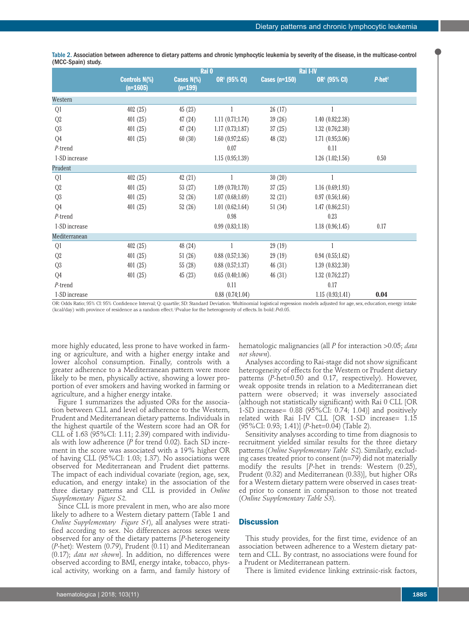|                |                                    | Rai 0                   |                          |                      | Rai I-IV                 |          |
|----------------|------------------------------------|-------------------------|--------------------------|----------------------|--------------------------|----------|
|                | <b>Controls N(%)</b><br>$(n=1605)$ | Cases N(%)<br>$(n=199)$ | OR <sup>1</sup> (95% CI) | <b>Cases (n=150)</b> | OR <sup>1</sup> (95% CI) | $P-het2$ |
| Western        |                                    |                         |                          |                      |                          |          |
| Q1             | 402(25)                            | 45(23)                  |                          | 26(17)               |                          |          |
| Q <sub>2</sub> | 401(25)                            | 47(24)                  | 1.11(0.71;1.74)          | 39(26)               | 1.40 (0.82;2.38)         |          |
| Q <sub>3</sub> | 401(25)                            | 47(24)                  | 1.17(0.73;1.87)          | 37(25)               | 1.32(0.76;2.30)          |          |
| Q4             | 401(25)                            | 60(30)                  | 1.60(0.97;2.65)          | 48 (32)              | 1.71(0.95;3.06)          |          |
| $P$ -trend     |                                    |                         | 0.07                     |                      | 0.11                     |          |
| 1-SD increase  |                                    |                         | 1.15(0.95;1.39)          |                      | 1.26(1.02;1.56)          | 0.50     |
| Prudent        |                                    |                         |                          |                      |                          |          |
| Q1             | 402(25)                            | 42(21)                  | 1                        | 30(20)               |                          |          |
| Q <sub>2</sub> | 401(25)                            | 53(27)                  | 1.09(0.70;1.70)          | 37(25)               | 1.16(0.69;1.93)          |          |
| Q <sub>3</sub> | 401(25)                            | 52(26)                  | 1.07(0.68;1.69)          | 32(21)               | 0.97(0.56;1.66)          |          |
| Q4             | 401(25)                            | 52(26)                  | 1.01(0.62;1.64)          | 51(34)               | 1.47(0.86;2.51)          |          |
| $P$ -trend     |                                    |                         | 0.98                     |                      | 0.23                     |          |
| 1-SD increase  |                                    |                         | 0.99(0.83;1.18)          |                      | 1.18(0.96;1.45)          | 0.17     |
| Mediterranean  |                                    |                         |                          |                      |                          |          |
| Q1             | 402(25)                            | 48 (24)                 |                          | 29(19)               |                          |          |
| Q <sub>2</sub> | 401(25)                            | 51(26)                  | 0.88(0.57;1.36)          | 29(19)               | 0.94(0.55;1.62)          |          |
| Q <sub>3</sub> | 401(25)                            | 55(28)                  | $0.88$ $(0.57;1.37)$     | 46(31)               | 1.39(0.83;2.30)          |          |
| Q4             | 401(25)                            | 45(23)                  | 0.65(0.40;1.06)          | 46(31)               | 1.32(0.76;2.27)          |          |
| P-trend        |                                    |                         | 0.11                     |                      | 0.17                     |          |
| 1-SD increase  |                                    |                         | $0.88$ $(0.74;1.04)$     |                      | 1.15(0.93;1.41)          | 0.04     |

Table 2. Association between adherence to dietary patterns and chronic lymphocytic leukemia by severity of the disease, in the multicase-control (MCC-Spain) study.

OR: Odds Ratio; 95% Cl: 95% Confidence Interval; Q: quartile; SD: Standard Deviation. 'Multinomial logistical regression models adjusted for age, sex, education, energy intake (kcal/day) with province of residence as a random effect. 2 *P*-value for the heterogeneity of effects. In bold: *P*<0.05.

more highly educated, less prone to have worked in farming or agriculture, and with a higher energy intake and lower alcohol consumption. Finally, controls with a greater adherence to a Mediterranean pattern were more likely to be men, physically active, showing a lower proportion of ever smokers and having worked in farming or agriculture, and a higher energy intake.

Figure 1 summarizes the adjusted ORs for the association between CLL and level of adherence to the Western, Prudent and Mediterranean dietary patterns. Individuals in the highest quartile of the Western score had an OR for CLL of 1.63 (95%CI: 1.11; 2.39) compared with individuals with low adherence (*P* for trend 0.02). Each SD increment in the score was associated with a 19% higher OR of having CLL (95%CI: 1.03; 1.37). No associations were observed for Mediterranean and Prudent diet patterns. The impact of each individual covariate (region, age, sex, education, and energy intake) in the association of the three dietary patterns and CLL is provided in *Online Supplementary Figure S2.* 

Since CLL is more prevalent in men, who are also more likely to adhere to a Western dietary pattern (Table 1 and *Online Supplementary Figure S1*), all analyses were stratified according to sex. No differences across sexes were observed for any of the dietary patterns [*P*-heterogeneity (*P*-het): Western (0.79), Prudent (0.11) and Mediterranean (0.17); *data not shown*]. In addition, no differences were observed according to BMI, energy intake, tobacco, physical activity, working on a farm, and family history of

hematologic malignancies (all *P* for interaction >0.05; *data not shown*).

Analyses according to Rai-stage did not show significant heterogeneity of effects for the Western or Prudent dietary patterns (*P*-het=0.50 and 0.17, respectively). However, weak opposite trends in relation to a Mediterranean diet pattern were observed; it was inversely associated (although not statistically significant) with Rai 0 CLL [OR 1-SD increase= 0.88 (95%CI: 0.74; 1.04)] and positively related with Rai I-IV CLL [OR 1-SD increase= 1.15 (95%CI: 0.93; 1.41)] (*P*-het=0.04) (Table 2).

Sensitivity analyses according to time from diagnosis to recruitment yielded similar results for the three dietary patterns (*Online Supplementary Table S2*). Similarly, excluding cases treated prior to consent (n=79) did not materially modify the results [*P*-het in trends: Western (0.25), Prudent (0.32) and Mediterranean (0.33)], but higher ORs for a Western dietary pattern were observed in cases treated prior to consent in comparison to those not treated (*Online Supplementary Table S3*).

# **Discussion**

This study provides, for the first time, evidence of an association between adherence to a Western dietary pattern and CLL. By contrast, no associations were found for a Prudent or Mediterranean pattern.

There is limited evidence linking extrinsic-risk factors,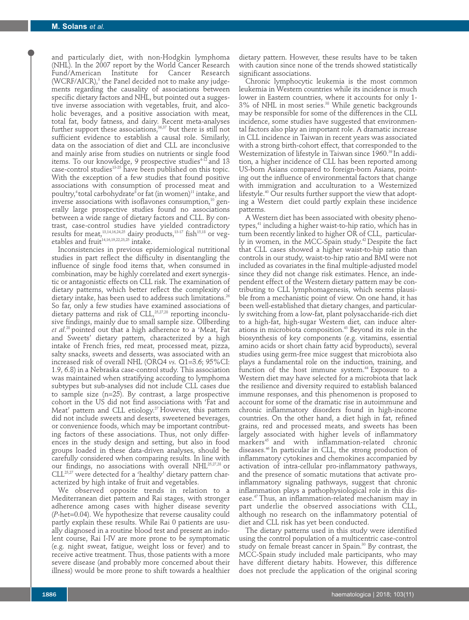and particularly diet, with non-Hodgkin lymphoma (NHL). In the 2007 report by the World Cancer Research Fund/American Institute for Cancer Research (WCRF/AICR),<sup>3</sup> the Panel decided not to make any judgements regarding the causality of associations between specific dietary factors and NHL, but pointed out a suggestive inverse association with vegetables, fruit, and alcoholic beverages, and a positive association with meat, total fat, body fatness, and dairy. Recent meta-analyses further support these associations,  $36,37$  but there is still not sufficient evidence to establish a causal role. Similarly, data on the association of diet and CLL are inconclusive and mainly arise from studies on nutrients or single food items. To our knowledge, 9 prospective studies<sup>4-12</sup> and 13 case-control studies $13-25$  have been published on this topic. With the exception of a few studies that found positive associations with consumption of processed meat and poultry,<sup>4</sup> total carbohydrate<sup>8</sup> or fat (in women)<sup>11</sup> intake, and inverse associations with isoflavones consumption,<sup>10</sup> generally large prospective studies found no associations between a wide range of dietary factors and CLL. By contrast, case-control studies have yielded contradictory results for meat, $^{13,14,16,24,25}$  dairy products, $^{13\cdot 17}$  fish $^{15,18}$  or vegetables and fruit<sup>14,16,19,22,23,25</sup> intake.

Inconsistencies in previous epidemiological nutritional studies in part reflect the difficulty in disentangling the influence of single food items that, when consumed in combination, may be highly correlated and exert synergistic or antagonistic effects on CLL risk. The examination of dietary patterns, which better reflect the complexity of dietary intake, has been used to address such limitations.<sup>26</sup> So far, only a few studies have examined associations of dietary patterns and risk of  $CLL$ ,<sup>25,27,28</sup> reporting inconclusive findings, mainly due to small sample size. Ollberding *et al*. 28 pointed out that a high adherence to a 'Meat, Fat and Sweets' dietary pattern, characterized by a high intake of French fries, red meat, processed meat, pizza, salty snacks, sweets and desserts, was associated with an increased risk of overall NHL (ORQ4 *vs.* Q1=3.6; 95%CI: 1.9, 6.8) in a Nebraska case-control study. This association was maintained when stratifying according to lymphoma subtypes but sub-analyses did not include CLL cases due to sample size (n=25). By contrast, a large prospective cohort in the US did not find associations with 'Fat and Meat' pattern and CLL etiology.<sup>27</sup> However, this pattern did not include sweets and deserts, sweetened beverages, or convenience foods, which may be important contributing factors of these associations. Thus, not only differences in the study design and setting, but also in food groups loaded in these data-driven analyses, should be carefully considered when comparing results. In line with our findings, no associations with overall NHL<sup>25,27,28</sup> or CLL25,27 were detected for a 'healthy' dietary pattern characterized by high intake of fruit and vegetables.

We observed opposite trends in relation to a Mediterranean diet pattern and Rai stages, with stronger adherence among cases with higher disease severity (*P*-het=0.04). We hypothesize that reverse causality could partly explain these results. While Rai 0 patients are usually diagnosed in a routine blood test and present an indolent course, Rai I-IV are more prone to be symptomatic (e.g. night sweat, fatigue, weight loss or fever) and to receive active treatment. Thus, those patients with a more severe disease (and probably more concerned about their illness) would be more prone to shift towards a healthier

Chronic lymphocytic leukemia is the most common leukemia in Western countries while its incidence is much lower in Eastern countries, where it accounts for only 1- 3% of NHL in most series.38 While genetic backgrounds may be responsible for some of the differences in the CLL incidence, some studies have suggested that environmental factors also play an important role. A dramatic increase in CLL incidence in Taiwan in recent years was associated with a strong birth-cohort effect, that corresponded to the Westernization of lifestyle in Taiwan since 1960.<sup>39</sup> In addition, a higher incidence of CLL has been reported among US-born Asians compared to foreign-born Asians, pointing out the influence of environmental factors that change with immigration and acculturation to a Westernized lifestyle.<sup>40</sup> Our results further support the view that adopting a Western diet could partly explain these incidence patterns.

A Western diet has been associated with obesity phenotypes,41 including a higher waist-to-hip ratio, which has in turn been recently linked to higher OR of CLL, particularly in women, in the MCC-Spain study.<sup>42</sup> Despite the fact that CLL cases showed a higher waist-to-hip ratio than controls in our study, waist-to-hip ratio and BMI were not included as covariates in the final multiple-adjusted model since they did not change risk estimates. Hence, an independent effect of the Western dietary pattern may be contributing to CLL lymphomagenesis, which seems plausible from a mechanistic point of view. On one hand, it has been well-established that dietary changes, and particularly switching from a low-fat, plant polysaccharide-rich diet to a high-fat, high-sugar Western diet, can induce alterations in microbiota composition.<sup>43</sup> Beyond its role in the biosynthesis of key components (e.g. vitamins, essential amino acids or short chain fatty acid byproducts), several studies using germ-free mice suggest that microbiota also plays a fundamental role on the induction, training, and function of the host immune system.<sup>44</sup> Exposure to a Western diet may have selected for a microbiota that lack the resilience and diversity required to establish balanced immune responses, and this phenomenon is proposed to account for some of the dramatic rise in autoimmune and chronic inflammatory disorders found in high-income countries. On the other hand, a diet high in fat, refined grains, red and processed meats, and sweets has been largely associated with higher levels of inflammatory markers45 and with inflammation-related chronic diseases.46 In particular in CLL, the strong production of inflammatory cytokines and chemokines accompanied by activation of intra-cellular pro-inflammatory pathways, and the presence of somatic mutations that activate proinflammatory signaling pathways, suggest that chronic inflammation plays a pathophysiological role in this disease.47 Thus, an inflammation-related mechanism may in part underlie the observed associations with CLL, although no research on the inflammatory potential of diet and CLL risk has yet been conducted.

The dietary patterns used in this study were identified using the control population of a multicentric case-control study on female breast cancer in Spain.<sup>30</sup> By contrast, the MCC-Spain study included male participants, who may have different dietary habits. However, this difference does not preclude the application of the original scoring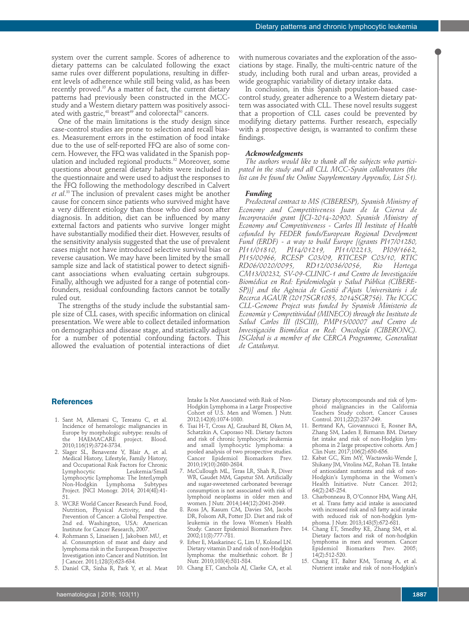system over the current sample. Scores of adherence to dietary patterns can be calculated following the exact same rules over different populations, resulting in different levels of adherence while still being valid, as has been recently proved.<sup>35</sup> As a matter of fact, the current dietary patterns had previously been constructed in the MCCstudy and a Western dietary pattern was positively associated with gastric,<sup>48</sup> breast<sup>49</sup> and colorectal<sup>50</sup> cancers.

One of the main limitations is the study design since case-control studies are prone to selection and recall biases. Measurement errors in the estimation of food intake due to the use of self-reported FFQ are also of some concern. However, the FFQ was validated in the Spanish population and included regional products.<sup>32</sup> Moreover, some questions about general dietary habits were included in the questionnaire and were used to adjust the responses to the FFQ following the methodology described in Calvert *et al*. 33 The inclusion of prevalent cases might be another cause for concern since patients who survived might have a very different etiology than those who died soon after diagnosis. In addition, diet can be influenced by many external factors and patients who survive longer might have substantially modified their diet. However, results of the sensitivity analysis suggested that the use of prevalent cases might not have introduced selective survival bias or reverse causation. We may have been limited by the small sample size and lack of statistical power to detect significant associations when evaluating certain subgroups. Finally, although we adjusted for a range of potential confounders, residual confounding factors cannot be totally ruled out.

The strengths of the study include the substantial sample size of CLL cases, with specific information on clinical presentation. We were able to collect detailed information on demographics and disease stage, and statistically adjust for a number of potential confounding factors. This allowed the evaluation of potential interactions of diet with numerous covariates and the exploration of the associations by stage. Finally, the multi-centric nature of the study, including both rural and urban areas, provided a wide geographic variability of dietary intake data.

In conclusion, in this Spanish population-based casecontrol study, greater adherence to a Western dietary pattern was associated with CLL. These novel results suggest that a proportion of CLL cases could be prevented by modifying dietary patterns. Further research, especially with a prospective design, is warranted to confirm these findings.

#### *Acknowledgments*

*The authors would like to thank all the subjects who participated in the study and all CLL MCC-Spain collaborators (the list can be found the Online Supplementary Appendix, List S1).* 

#### *Funding*

*Predoctoral contract to MS (CIBERESP), Spanish Ministry of Economy and Competitiveness Juan de la Cierva de Incorporación grant IJCI-2014-20900. Spanish Ministry of Economy and Competitiveness - Carlos III Institute of Health cofunded by FEDER funds/European Regional Develpment Fund (ERDF) - a way to build Europe [(grants PI17/01280, PI11/01810, PI14/01219, PI11/02213, PI09/1662, PI15/00966, RCESP C03/09, RTICESP C03/10, RTIC RD06/0020/0095, RD12/0036/0056, Rio Hortega CM13/00232, SV-09-CLINIC-1 and Centro de Investigación Biomédica en Red: Epidemiología y Salud Pública (CIBERE-SP))] and the Agència de Gestió d'Ajuts Universitaris i de Recerca AGAUR (2017SGR1085, 2014SGR756). The ICGC CLL-Genome Project was funded by Spanish Ministerio de Economía y Competitividad (MINECO) through the Instituto de Salud Carlos III (ISCIII), PMP15/00007 and Centro de Investigación Biomédica en Red: Oncología (CIBERONC). ISGlobal is a member of the CERCA Programme, Generalitat de Catalunya.*

# **References**

- 1. Sant M, Allemani C, Tereanu C, et al. Incidence of hematologic malignancies in Europe by morphologic subtype: results of<br>the HAEMACARE project. Blood. the HAEMACARE project. Blood. 2010;116(19):3724-3734.
- 2. Slager SL, Benavente Y, Blair A, et al. Medical History, Lifestyle, Family History, and Occupational Risk Factors for Chronic Leukemia/Small Lymphocytic Lymphoma: The InterLymph Non-Hodgkin Project. JNCI Monogr. 2014; 2014(48):41- 51.
- 3. WCRF. World Cancer Research Fund. Food, Nutrition, Physical Activity, and the Prevention of Cancer: a Global Perspective. 2nd ed. Washington, USA: American Institute for Cancer Research, 2007.
- 4. Rohrmann S, Linseisen J, Jakobsen MU, et al. Consumption of meat and dairy and lymphoma risk in the European Prospective Investigation into Cancer and Nutrition. Int Cancer. 2011;128(3):623-634.
- 5. Daniel CR, Sinha R, Park Y, et al. Meat

Intake Is Not Associated with Risk of Non-Hodgkin Lymphoma in a Large Prospective Cohort of U.S. Men and Women. J Nutr. 2012;142(6):1074-1080.

- 6. Tsai H-T, Cross AJ, Graubard BI, Oken M, Schatzkin A, Caporaso NE. Dietary factors and risk of chronic lymphocytic leukemia and small lymphocytic lymphoma: a pooled analysis of two prospective studies. Cancer Epidemiol Biomarkers Prev. 2010;19(10):2680-2684.
- 7. McCullough ML, Teras LR, Shah R, Diver WR, Gaudet MM, Gapstur SM. Artificially and sugar-sweetened carbonated beverage consumption is not associated with risk of lymphoid neoplasms in older men and women. J Nutr. 2014;144(12):2041-2049.
- 8. Ross JA, Kasum CM, Davies SM, Jacobs DR, Folsom AR, Potter JD. Diet and risk of leukemia in the Iowa Women's Health Study. Cancer Epidemiol Biomarkers Prev. 2002;11(8):777-781.
- 9. Erber E, Maskarinec G, Lim U, Kolonel LN. Dietary vitamin D and risk of non-Hodgkin lymphoma: the multiethnic cohort. Br J Nutr. 2010;103(4):581-584.
- 10. Chang ET, Canchola AJ, Clarke CA, et al.

Dietary phytocompounds and risk of lymphoid malignancies in the California Teachers Study cohort. Cancer Causes Control. 2011;22(2):237-249.

- 11. Bertrand KA, Giovannucci E, Rosner BA, Zhang SM, Laden F, Birmann BM. Dietary fat intake and risk of non-Hodgkin lymphoma in 2 large prospective cohorts. Am J Clin Nutr. 2017;106(2):650-656.
- 12. Kabat GC, Kim MY, Wactawski-Wende J, Shikany JM, Vitolins MZ, Rohan TE. Intake of antioxidant nutrients and risk of non-Hodgkin's Lymphoma in the Women's Health Initiative. Nutr Cancer. 2012; 64(2):245-254.
- 13. Charbonneau B, O'Connor HM, Wang AH, et al. Trans fatty acid intake is associated with increased risk and n3 fatty acid intake with reduced risk of non-hodgkin lymphoma. J Nutr. 2013;143(5):672-681.
- 14. Chang ET, Smedby KE, Zhang SM, et al. Dietary factors and risk of non-hodgkin lymphoma in men and women. Cancer Epidemiol Biomarkers Prev. 2005; 14(2):512-520.
- 15. Chang ET, Balter KM, Torrang A, et al. Nutrient intake and risk of non-Hodgkin's